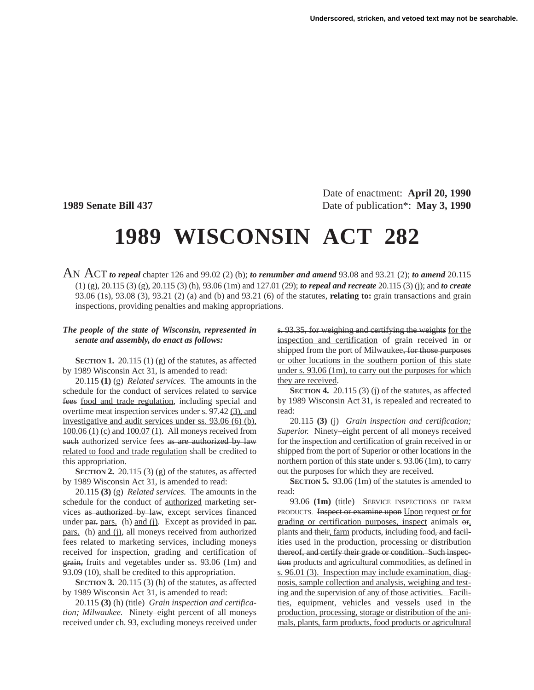Date of enactment: **April 20, 1990 1989 Senate Bill 437** Date of publication\*: **May 3, 1990** 

## **1989 WISCONSIN ACT 282**

AN ACT *to repeal* chapter 126 and 99.02 (2) (b); *to renumber and amend* 93.08 and 93.21 (2); *to amend* 20.115 (1) (g), 20.115 (3) (g), 20.115 (3) (h), 93.06 (1m) and 127.01 (29); *to repeal and recreate* 20.115 (3) (j); and *to create* 93.06 (1s), 93.08 (3), 93.21 (2) (a) and (b) and 93.21 (6) of the statutes, **relating to:** grain transactions and grain inspections, providing penalties and making appropriations.

## *The people of the state of Wisconsin, represented in senate and assembly, do enact as follows:*

**SECTION 1.** 20.115 (1) (g) of the statutes, as affected by 1989 Wisconsin Act 31, is amended to read:

20.115 **(1)** (g) *Related services.* The amounts in the schedule for the conduct of services related to service fees food and trade regulation, including special and overtime meat inspection services under s. 97.42 (3), and investigative and audit services under ss. 93.06 (6) (b), 100.06 (1) (c) and 100.07 (1). All moneys received from such authorized service fees as are authorized by law related to food and trade regulation shall be credited to this appropriation.

**SECTION 2.** 20.115 (3) (g) of the statutes, as affected by 1989 Wisconsin Act 31, is amended to read:

20.115 **(3)** (g) *Related services.* The amounts in the schedule for the conduct of authorized marketing services as authorized by law, except services financed under par. pars. (h) and (j). Except as provided in par. pars. (h) and (j), all moneys received from authorized fees related to marketing services, including moneys received for inspection, grading and certification of grain, fruits and vegetables under ss. 93.06 (1m) and 93.09 (10), shall be credited to this appropriation.

**SECTION 3.** 20.115 (3) (h) of the statutes, as affected by 1989 Wisconsin Act 31, is amended to read:

20.115 **(3)** (h) (title) *Grain inspection and certification; Milwaukee.* Ninety–eight percent of all moneys received under ch. 93, excluding moneys received under

s. 93.35, for weighing and certifying the weights for the inspection and certification of grain received in or shipped from the port of Milwaukee, for those purposes or other locations in the southern portion of this state under s. 93.06 (1m), to carry out the purposes for which they are received.

**SECTION 4.** 20.115 (3) (j) of the statutes, as affected by 1989 Wisconsin Act 31, is repealed and recreated to read:

20.115 **(3)** (j) *Grain inspection and certification; Superior.* Ninety–eight percent of all moneys received for the inspection and certification of grain received in or shipped from the port of Superior or other locations in the northern portion of this state under s. 93.06 (1m), to carry out the purposes for which they are received.

**SECTION 5.** 93.06 (1m) of the statutes is amended to read:

93.06 **(1m)** (title) SERVICE INSPECTIONS OF FARM PRODUCTS. Inspect or examine upon Upon request or for grading or certification purposes, inspect animals or, plants and their, farm products, including food, and facilities used in the production, processing or distribution thereof, and certify their grade or condition. Such inspection products and agricultural commodities, as defined in s. 96.01 (3). Inspection may include examination, diagnosis, sample collection and analysis, weighing and testing and the supervision of any of those activities. Facilities, equipment, vehicles and vessels used in the production, processing, storage or distribution of the animals, plants, farm products, food products or agricultural